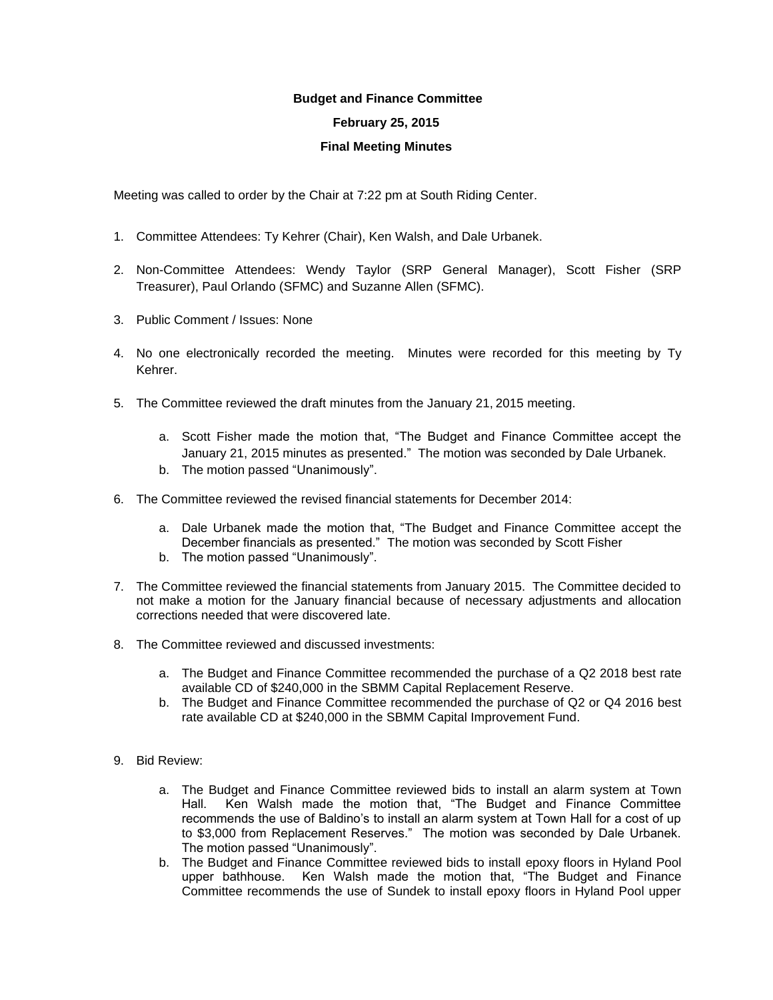## **Budget and Finance Committee**

## **February 25, 2015**

## **Final Meeting Minutes**

Meeting was called to order by the Chair at 7:22 pm at South Riding Center.

- 1. Committee Attendees: Ty Kehrer (Chair), Ken Walsh, and Dale Urbanek.
- 2. Non-Committee Attendees: Wendy Taylor (SRP General Manager), Scott Fisher (SRP Treasurer), Paul Orlando (SFMC) and Suzanne Allen (SFMC).
- 3. Public Comment / Issues: None
- 4. No one electronically recorded the meeting. Minutes were recorded for this meeting by Ty Kehrer.
- 5. The Committee reviewed the draft minutes from the January 21, 2015 meeting.
	- a. Scott Fisher made the motion that, "The Budget and Finance Committee accept the January 21, 2015 minutes as presented." The motion was seconded by Dale Urbanek.
	- b. The motion passed "Unanimously".
- 6. The Committee reviewed the revised financial statements for December 2014:
	- a. Dale Urbanek made the motion that, "The Budget and Finance Committee accept the December financials as presented." The motion was seconded by Scott Fisher
	- b. The motion passed "Unanimously".
- 7. The Committee reviewed the financial statements from January 2015. The Committee decided to not make a motion for the January financial because of necessary adjustments and allocation corrections needed that were discovered late.
- 8. The Committee reviewed and discussed investments:
	- a. The Budget and Finance Committee recommended the purchase of a Q2 2018 best rate available CD of \$240,000 in the SBMM Capital Replacement Reserve.
	- b. The Budget and Finance Committee recommended the purchase of Q2 or Q4 2016 best rate available CD at \$240,000 in the SBMM Capital Improvement Fund.
- 9. Bid Review:
	- a. The Budget and Finance Committee reviewed bids to install an alarm system at Town Hall. Ken Walsh made the motion that, "The Budget and Finance Committee recommends the use of Baldino's to install an alarm system at Town Hall for a cost of up to \$3,000 from Replacement Reserves." The motion was seconded by Dale Urbanek. The motion passed "Unanimously".
	- b. The Budget and Finance Committee reviewed bids to install epoxy floors in Hyland Pool upper bathhouse. Ken Walsh made the motion that, "The Budget and Finance Committee recommends the use of Sundek to install epoxy floors in Hyland Pool upper